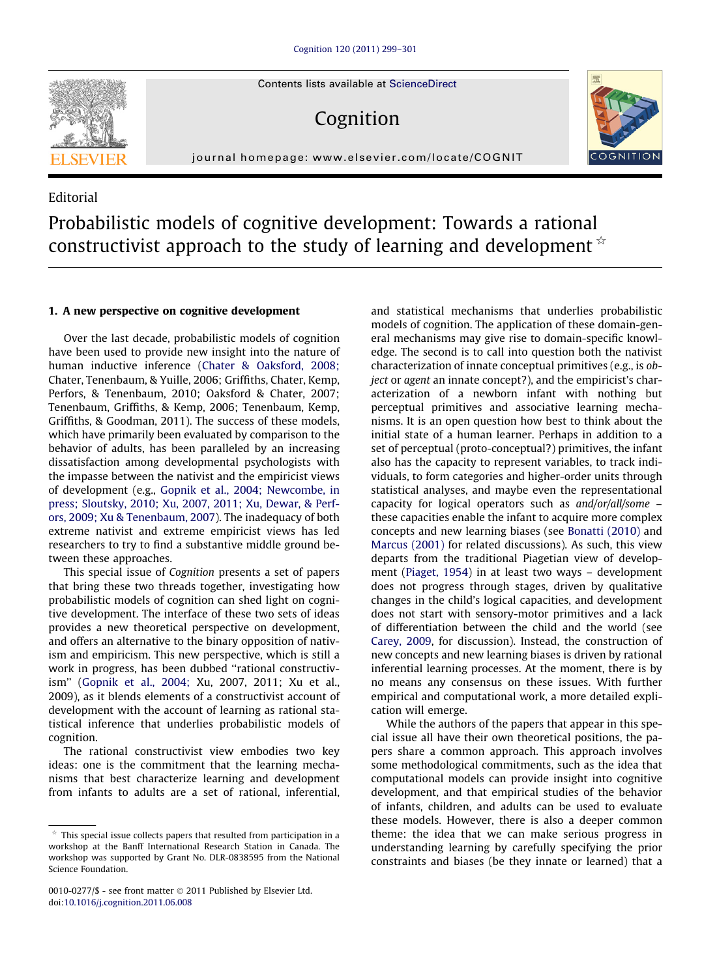Contents lists available at [ScienceDirect](http://www.sciencedirect.com/science/journal/00100277)

Cognition



journal homepage: [www.elsevier.com/locate/COGNIT](http://www.elsevier.com/locate/COGNIT)

# Editorial Probabilistic models of cognitive development: Towards a rational constructivist approach to the study of learning and development  $\dot{\alpha}$

## 1. A new perspective on cognitive development

Over the last decade, probabilistic models of cognition have been used to provide new insight into the nature of human inductive inference ([Chater & Oaksford, 2008;](#page-2-0) Chater, Tenenbaum, & Yuille, 2006; Griffiths, Chater, Kemp, Perfors, & Tenenbaum, 2010; Oaksford & Chater, 2007; Tenenbaum, Griffiths, & Kemp, 2006; Tenenbaum, Kemp, Griffiths, & Goodman, 2011). The success of these models, which have primarily been evaluated by comparison to the behavior of adults, has been paralleled by an increasing dissatisfaction among developmental psychologists with the impasse between the nativist and the empiricist views of development (e.g., [Gopnik et al., 2004; Newcombe, in](#page-2-0) [press; Sloutsky, 2010; Xu, 2007, 2011; Xu, Dewar, & Perf](#page-2-0)[ors, 2009; Xu & Tenenbaum, 2007](#page-2-0)). The inadequacy of both extreme nativist and extreme empiricist views has led researchers to try to find a substantive middle ground between these approaches.

This special issue of Cognition presents a set of papers that bring these two threads together, investigating how probabilistic models of cognition can shed light on cognitive development. The interface of these two sets of ideas provides a new theoretical perspective on development, and offers an alternative to the binary opposition of nativism and empiricism. This new perspective, which is still a work in progress, has been dubbed ''rational constructivism'' [\(Gopnik et al., 2004;](#page-2-0) Xu, 2007, 2011; Xu et al., 2009), as it blends elements of a constructivist account of development with the account of learning as rational statistical inference that underlies probabilistic models of cognition.

The rational constructivist view embodies two key ideas: one is the commitment that the learning mechanisms that best characterize learning and development from infants to adults are a set of rational, inferential,

and statistical mechanisms that underlies probabilistic models of cognition. The application of these domain-general mechanisms may give rise to domain-specific knowledge. The second is to call into question both the nativist characterization of innate conceptual primitives (e.g., is object or agent an innate concept?), and the empiricist's characterization of a newborn infant with nothing but perceptual primitives and associative learning mechanisms. It is an open question how best to think about the initial state of a human learner. Perhaps in addition to a set of perceptual (proto-conceptual?) primitives, the infant also has the capacity to represent variables, to track individuals, to form categories and higher-order units through statistical analyses, and maybe even the representational capacity for logical operators such as and/or/all/some – these capacities enable the infant to acquire more complex concepts and new learning biases (see [Bonatti \(2010\)](#page-2-0) and [Marcus \(2001\)](#page-2-0) for related discussions). As such, this view departs from the traditional Piagetian view of development [\(Piaget, 1954\)](#page-2-0) in at least two ways – development does not progress through stages, driven by qualitative changes in the child's logical capacities, and development does not start with sensory-motor primitives and a lack of differentiation between the child and the world (see [Carey, 2009,](#page-2-0) for discussion). Instead, the construction of new concepts and new learning biases is driven by rational inferential learning processes. At the moment, there is by no means any consensus on these issues. With further empirical and computational work, a more detailed explication will emerge.

While the authors of the papers that appear in this special issue all have their own theoretical positions, the papers share a common approach. This approach involves some methodological commitments, such as the idea that computational models can provide insight into cognitive development, and that empirical studies of the behavior of infants, children, and adults can be used to evaluate these models. However, there is also a deeper common theme: the idea that we can make serious progress in understanding learning by carefully specifying the prior constraints and biases (be they innate or learned) that a

 $*$  This special issue collects papers that resulted from participation in a workshop at the Banff International Research Station in Canada. The workshop was supported by Grant No. DLR-0838595 from the National Science Foundation.

<sup>0010-0277/\$ -</sup> see front matter © 2011 Published by Elsevier Ltd. doi:[10.1016/j.cognition.2011.06.008](http://dx.doi.org/10.1016/j.cognition.2011.06.008)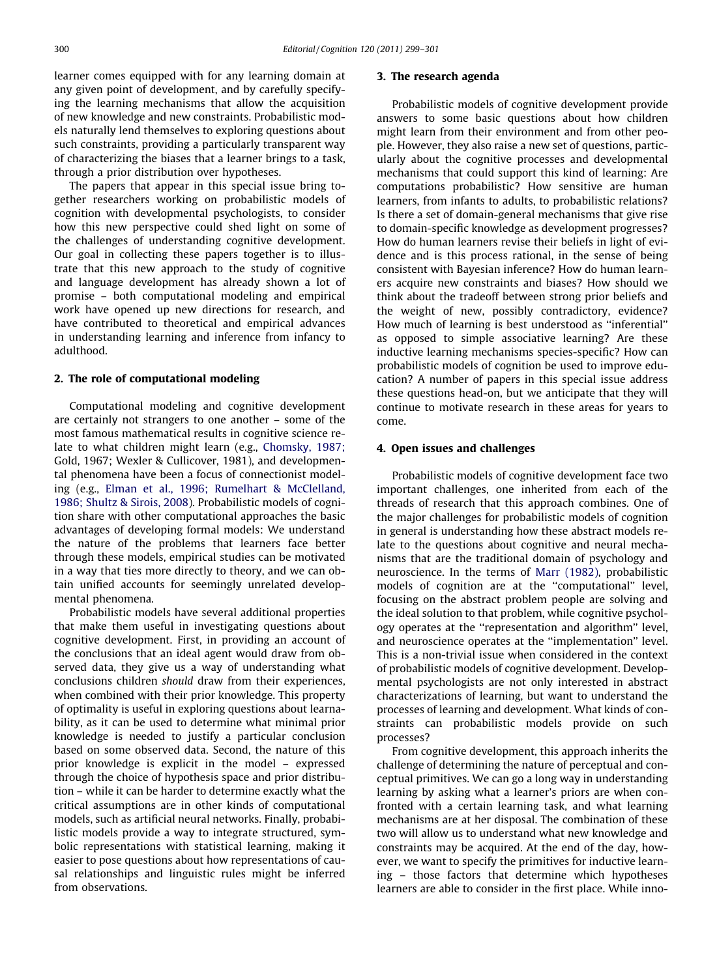learner comes equipped with for any learning domain at any given point of development, and by carefully specifying the learning mechanisms that allow the acquisition of new knowledge and new constraints. Probabilistic models naturally lend themselves to exploring questions about such constraints, providing a particularly transparent way of characterizing the biases that a learner brings to a task, through a prior distribution over hypotheses.

The papers that appear in this special issue bring together researchers working on probabilistic models of cognition with developmental psychologists, to consider how this new perspective could shed light on some of the challenges of understanding cognitive development. Our goal in collecting these papers together is to illustrate that this new approach to the study of cognitive and language development has already shown a lot of promise – both computational modeling and empirical work have opened up new directions for research, and have contributed to theoretical and empirical advances in understanding learning and inference from infancy to adulthood.

## 2. The role of computational modeling

Computational modeling and cognitive development are certainly not strangers to one another – some of the most famous mathematical results in cognitive science relate to what children might learn (e.g., [Chomsky, 1987;](#page-2-0) Gold, 1967; Wexler & Cullicover, 1981), and developmental phenomena have been a focus of connectionist modeling (e.g., [Elman et al., 1996; Rumelhart & McClelland,](#page-2-0) [1986; Shultz & Sirois, 2008](#page-2-0)). Probabilistic models of cognition share with other computational approaches the basic advantages of developing formal models: We understand the nature of the problems that learners face better through these models, empirical studies can be motivated in a way that ties more directly to theory, and we can obtain unified accounts for seemingly unrelated developmental phenomena.

Probabilistic models have several additional properties that make them useful in investigating questions about cognitive development. First, in providing an account of the conclusions that an ideal agent would draw from observed data, they give us a way of understanding what conclusions children should draw from their experiences, when combined with their prior knowledge. This property of optimality is useful in exploring questions about learnability, as it can be used to determine what minimal prior knowledge is needed to justify a particular conclusion based on some observed data. Second, the nature of this prior knowledge is explicit in the model – expressed through the choice of hypothesis space and prior distribution – while it can be harder to determine exactly what the critical assumptions are in other kinds of computational models, such as artificial neural networks. Finally, probabilistic models provide a way to integrate structured, symbolic representations with statistical learning, making it easier to pose questions about how representations of causal relationships and linguistic rules might be inferred from observations.

#### 3. The research agenda

Probabilistic models of cognitive development provide answers to some basic questions about how children might learn from their environment and from other people. However, they also raise a new set of questions, particularly about the cognitive processes and developmental mechanisms that could support this kind of learning: Are computations probabilistic? How sensitive are human learners, from infants to adults, to probabilistic relations? Is there a set of domain-general mechanisms that give rise to domain-specific knowledge as development progresses? How do human learners revise their beliefs in light of evidence and is this process rational, in the sense of being consistent with Bayesian inference? How do human learners acquire new constraints and biases? How should we think about the tradeoff between strong prior beliefs and the weight of new, possibly contradictory, evidence? How much of learning is best understood as ''inferential'' as opposed to simple associative learning? Are these inductive learning mechanisms species-specific? How can probabilistic models of cognition be used to improve education? A number of papers in this special issue address these questions head-on, but we anticipate that they will continue to motivate research in these areas for years to come.

## 4. Open issues and challenges

Probabilistic models of cognitive development face two important challenges, one inherited from each of the threads of research that this approach combines. One of the major challenges for probabilistic models of cognition in general is understanding how these abstract models relate to the questions about cognitive and neural mechanisms that are the traditional domain of psychology and neuroscience. In the terms of [Marr \(1982\)](#page-2-0), probabilistic models of cognition are at the ''computational'' level, focusing on the abstract problem people are solving and the ideal solution to that problem, while cognitive psychology operates at the ''representation and algorithm'' level, and neuroscience operates at the ''implementation'' level. This is a non-trivial issue when considered in the context of probabilistic models of cognitive development. Developmental psychologists are not only interested in abstract characterizations of learning, but want to understand the processes of learning and development. What kinds of constraints can probabilistic models provide on such processes?

From cognitive development, this approach inherits the challenge of determining the nature of perceptual and conceptual primitives. We can go a long way in understanding learning by asking what a learner's priors are when confronted with a certain learning task, and what learning mechanisms are at her disposal. The combination of these two will allow us to understand what new knowledge and constraints may be acquired. At the end of the day, however, we want to specify the primitives for inductive learning – those factors that determine which hypotheses learners are able to consider in the first place. While inno